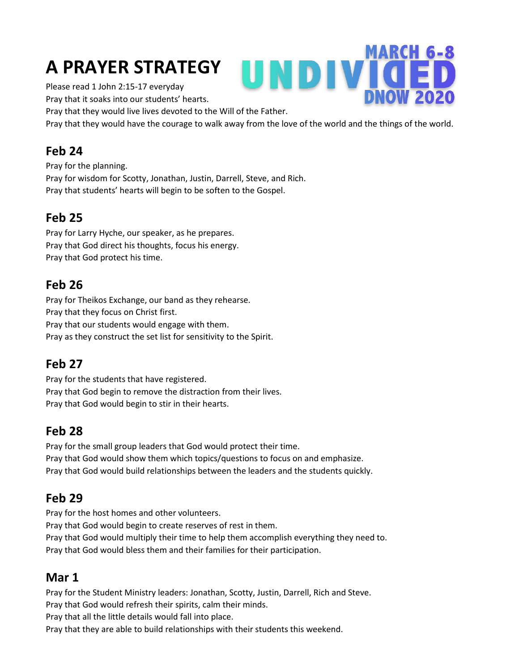# **A PRAYER STRATEGY**

Please read 1 John 2:15-17 everyday

Pray that it soaks into our students' hearts.

Pray that they would live lives devoted to the Will of the Father.

Pray that they would have the courage to walk away from the love of the world and the things of the world.

UNDIVI

**MARCH 6-8** 

#### **Feb 24**

Pray for the planning. Pray for wisdom for Scotty, Jonathan, Justin, Darrell, Steve, and Rich. Pray that students' hearts will begin to be soften to the Gospel.

#### **Feb 25**

Pray for Larry Hyche, our speaker, as he prepares. Pray that God direct his thoughts, focus his energy. Pray that God protect his time.

## **Feb 26**

Pray for Theikos Exchange, our band as they rehearse. Pray that they focus on Christ first. Pray that our students would engage with them. Pray as they construct the set list for sensitivity to the Spirit.

## **Feb 27**

Pray for the students that have registered. Pray that God begin to remove the distraction from their lives. Pray that God would begin to stir in their hearts.

#### **Feb 28**

Pray for the small group leaders that God would protect their time. Pray that God would show them which topics/questions to focus on and emphasize. Pray that God would build relationships between the leaders and the students quickly.

## **Feb 29**

Pray for the host homes and other volunteers.

Pray that God would begin to create reserves of rest in them.

Pray that God would multiply their time to help them accomplish everything they need to. Pray that God would bless them and their families for their participation.

## **Mar 1**

Pray for the Student Ministry leaders: Jonathan, Scotty, Justin, Darrell, Rich and Steve. Pray that God would refresh their spirits, calm their minds.

Pray that all the little details would fall into place.

Pray that they are able to build relationships with their students this weekend.